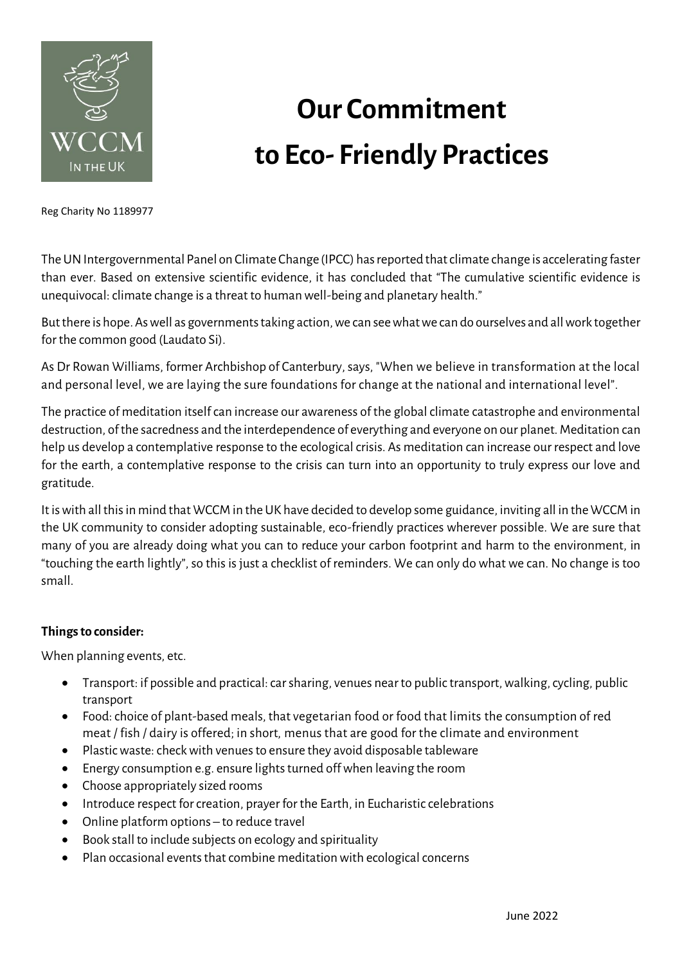

## **Our Commitment to Eco- Friendly Practices**

Reg Charity No 1189977

The UN Intergovernmental Panel on Climate Change (IPCC) has reported that climate change is accelerating faster than ever. Based on extensive scientific evidence, it has concluded that "The cumulative scientific evidence is unequivocal: climate change is a threat to human well-being and planetary health."

But there is hope. As well as governments taking action, we can see what we can do ourselves and all work together for the common good (Laudato Si).

As Dr Rowan Williams, former Archbishop of Canterbury, says, "When we believe in transformation at the local and personal level, we are laying the sure foundations for change at the national and international level".

The practice of meditation itself can increase our awareness of the global climate catastrophe and environmental destruction, of the sacredness and the interdependence of everything and everyone on our planet. Meditation can help us develop a contemplative response to the ecological crisis. As meditation can increase our respect and love for the earth, a contemplative response to the crisis can turn into an opportunity to truly express our love and gratitude.

It is with all this in mind that WCCM in the UK have decided to develop some guidance, inviting all in the WCCM in the UK community to consider adopting sustainable, eco-friendly practices wherever possible. We are sure that many of you are already doing what you can to reduce your carbon footprint and harm to the environment, in "touching the earth lightly", so this is just a checklist of reminders. We can only do what we can. No change is too small.

## **Things to consider:**

When planning events, etc.

- Transport: if possible and practical: car sharing, venues near to public transport, walking, cycling, public transport
- Food: choice of plant-based meals, that vegetarian food or food that limits the consumption of red meat / fish / dairy is offered; in short, menus that are good for the climate and environment
- Plastic waste: check with venues to ensure they avoid disposable tableware
- Energy consumption e.g. ensure lights turned off when leaving the room
- Choose appropriately sized rooms
- Introduce respect for creation, prayer for the Earth, in Eucharistic celebrations
- Online platform options to reduce travel
- Book stall to include subjects on ecology and spirituality
- Plan occasional events that combine meditation with ecological concerns